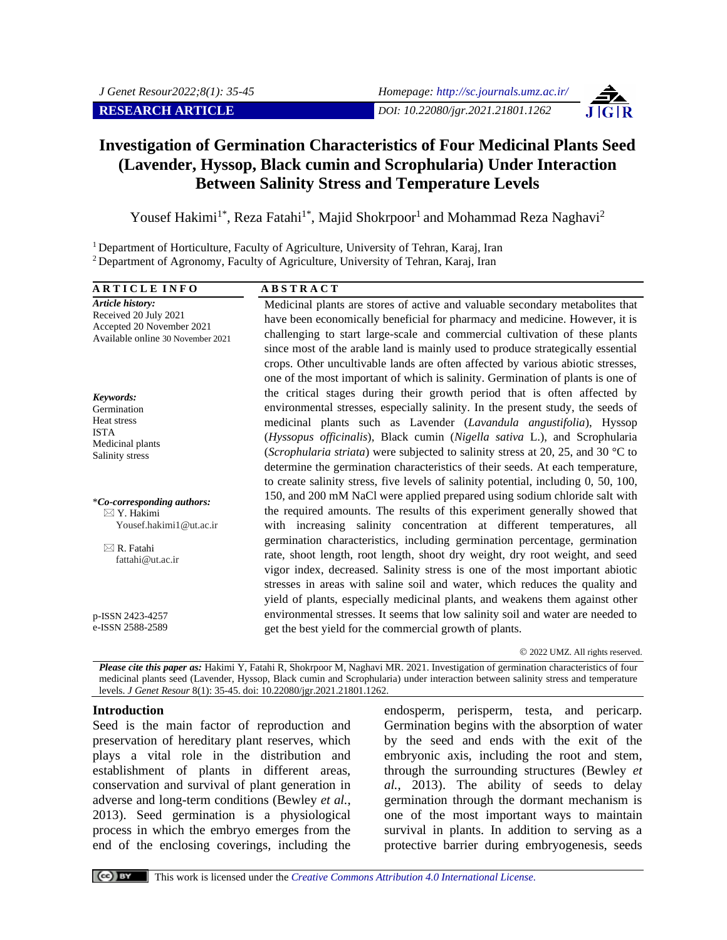

# **Investigation of Germination Characteristics of Four Medicinal Plants Seed (Lavender, Hyssop, Black cumin and Scrophularia) Under Interaction Between Salinity Stress and Temperature Levels**

Yousef Hakimi<sup>1\*</sup>, Reza Fatahi<sup>1\*</sup>, Majid Shokrpoor<sup>1</sup> and Mohammad Reza Naghavi<sup>2</sup>

<sup>1</sup> Department of Horticulture, Faculty of Agriculture, University of Tehran, Karaj, Iran <sup>2</sup> Department of Agronomy, Faculty of Agriculture, University of Tehran, Karaj, Iran

**A R T I C L E I N F O A B S T R A C T** *Article history:* Received 20 July 2021 Accepted 20 November 2021 Available online 30 November 2021

*Keywords:* Germination Heat stress ISTA Medicinal plants Salinity stress

\**Co-corresponding authors:*  $\boxtimes$  Y. Hakimi Yousef.hakimi1@ut.ac.ir

 $\boxtimes$  R. Fatahi fattahi@ut.ac.ir

p-ISSN 2423-4257 e-ISSN 2588-2589 Medicinal plants are stores of active and valuable secondary metabolites that have been economically beneficial for pharmacy and medicine. However, it is challenging to start large-scale and commercial cultivation of these plants since most of the arable land is mainly used to produce strategically essential crops. Other uncultivable lands are often affected by various abiotic stresses, one of the most important of which is salinity. Germination of plants is one of the critical stages during their growth period that is often affected by environmental stresses, especially salinity. In the present study, the seeds of medicinal plants such as Lavender (*Lavandula angustifolia*), Hyssop (*Hyssopus officinalis*), Black cumin (*Nigella sativa* L.), and Scrophularia (*Scrophularia striata*) were subjected to salinity stress at 20, 25, and 30 °C to determine the germination characteristics of their seeds. At each temperature, to create salinity stress, five levels of salinity potential, including 0, 50, 100, 150, and 200 mM NaCl were applied prepared using sodium chloride salt with the required amounts. The results of this experiment generally showed that with increasing salinity concentration at different temperatures, all germination characteristics, including germination percentage, germination rate, shoot length, root length, shoot dry weight, dry root weight, and seed vigor index, decreased. Salinity stress is one of the most important abiotic stresses in areas with saline soil and water, which reduces the quality and yield of plants, especially medicinal plants, and weakens them against other environmental stresses. It seems that low salinity soil and water are needed to get the best yield for the commercial growth of plants.

© 2022 UMZ. All rights reserved.

*Please cite this paper as:* Hakimi Y, Fatahi R, Shokrpoor M, Naghavi MR. 2021. Investigation of germination characteristics of four medicinal plants seed (Lavender, Hyssop, Black cumin and Scrophularia) under interaction between salinity stress and temperature levels. *J Genet Resour* 8(1): 35-45. doi: 10.22080/jgr.2021.21801.1262.

#### **Introduction**

Seed is the main factor of reproduction and preservation of hereditary plant reserves, which plays a vital role in the distribution and establishment of plants in different areas, conservation and survival of plant generation in adverse and long-term conditions (Bewley *et al.*, 2013). Seed germination is a physiological process in which the embryo emerges from the end of the enclosing coverings, including the

endosperm, perisperm, testa, and pericarp. Germination begins with the absorption of water by the seed and ends with the exit of the embryonic axis, including the root and stem, through the surrounding structures (Bewley *et al.*, 2013). The ability of seeds to delay germination through the dormant mechanism is one of the most important ways to maintain survival in plants. In addition to serving as a protective barrier during embryogenesis, seeds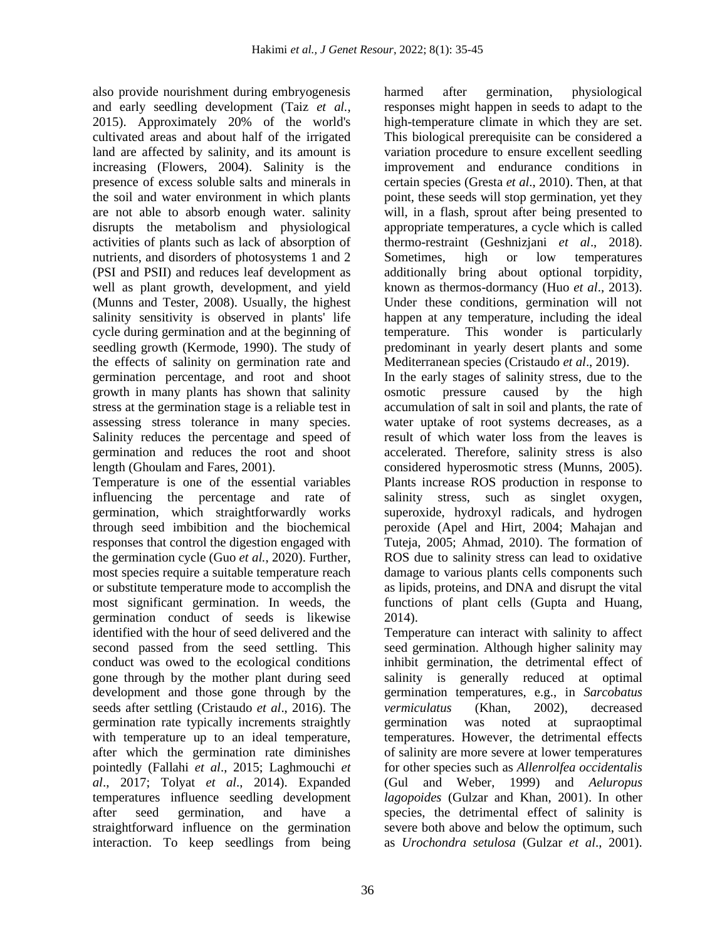also provide nourishment during embryogenesis and early seedling development (Taiz *et al.*, 2015). Approximately 20% of the world's cultivated areas and about half of the irrigated land are affected by salinity, and its amount is increasing (Flowers, 2004). Salinity is the presence of excess soluble salts and minerals in the soil and water environment in which plants are not able to absorb enough water. salinity disrupts the metabolism and physiological activities of plants such as lack of absorption of nutrients, and disorders of photosystems 1 and 2 (PSI and PSII) and reduces leaf development as well as plant growth, development, and yield (Munns and Tester, 2008). Usually, the highest salinity sensitivity is observed in plants' life cycle during germination and at the beginning of seedling growth (Kermode, 1990). The study of the effects of salinity on germination rate and germination percentage, and root and shoot growth in many plants has shown that salinity stress at the germination stage is a reliable test in assessing stress tolerance in many species. Salinity reduces the percentage and speed of germination and reduces the root and shoot length (Ghoulam and Fares, 2001).

Temperature is one of the essential variables influencing the percentage and rate of germination, which straightforwardly works through seed imbibition and the biochemical responses that control the digestion engaged with the germination cycle (Guo *et al.*, 2020). Further, most species require a suitable temperature reach or substitute temperature mode to accomplish the most significant germination. In weeds, the germination conduct of seeds is likewise identified with the hour of seed delivered and the second passed from the seed settling. This conduct was owed to the ecological conditions gone through by the mother plant during seed development and those gone through by the seeds after settling (Cristaudo *et al*., 2016). The germination rate typically increments straightly with temperature up to an ideal temperature, after which the germination rate diminishes pointedly (Fallahi *et al*., 2015; Laghmouchi *et al*., 2017; Tolyat *et al*., 2014). Expanded temperatures influence seedling development after seed germination, and have a straightforward influence on the germination interaction. To keep seedlings from being harmed after germination, physiological responses might happen in seeds to adapt to the high-temperature climate in which they are set. This biological prerequisite can be considered a variation procedure to ensure excellent seedling improvement and endurance conditions in certain species (Gresta *et al*., 2010). Then, at that point, these seeds will stop germination, yet they will, in a flash, sprout after being presented to appropriate temperatures, a cycle which is called thermo-restraint (Geshnizjani *et al*., 2018). Sometimes, high or low temperatures additionally bring about optional torpidity, known as thermos-dormancy (Huo *et al*., 2013). Under these conditions, germination will not happen at any temperature, including the ideal temperature. This wonder is particularly predominant in yearly desert plants and some Mediterranean species (Cristaudo *et al*., 2019).

In the early stages of salinity stress, due to the osmotic pressure caused by the high accumulation of salt in soil and plants, the rate of water uptake of root systems decreases, as a result of which water loss from the leaves is accelerated. Therefore, salinity stress is also considered hyperosmotic stress (Munns, 2005). Plants increase ROS production in response to salinity stress, such as singlet oxygen, superoxide, hydroxyl radicals, and hydrogen peroxide (Apel and Hirt, 2004; Mahajan and Tuteja, 2005; Ahmad, 2010). The formation of ROS due to salinity stress can lead to oxidative damage to various plants cells components such as lipids, proteins, and DNA and disrupt the vital functions of plant cells (Gupta and Huang, 2014).

Temperature can interact with salinity to affect seed germination. Although higher salinity may inhibit germination, the detrimental effect of salinity is generally reduced at optimal germination temperatures, e.g., in *Sarcobatus vermiculatus* (Khan, 2002), decreased germination was noted at supraoptimal temperatures. However, the detrimental effects of salinity are more severe at lower temperatures for other species such as *Allenrolfea occidentalis* (Gul and Weber, 1999) and *Aeluropus lagopoides* (Gulzar and Khan, 2001). In other species, the detrimental effect of salinity is severe both above and below the optimum, such as *Urochondra setulosa* (Gulzar *et al*., 2001).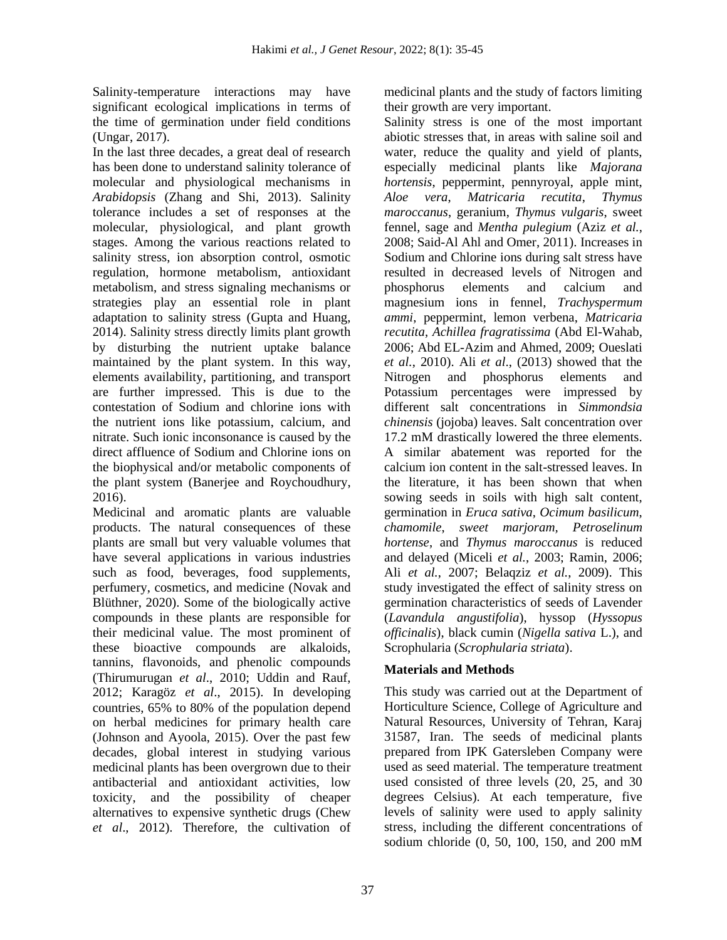Salinity-temperature interactions may have significant ecological implications in terms of the time of germination under field conditions (Ungar, 2017).

In the last three decades, a great deal of research has been done to understand salinity tolerance of molecular and physiological mechanisms in *Arabidopsis* (Zhang and Shi, 2013). Salinity tolerance includes a set of responses at the molecular, physiological, and plant growth stages. Among the various reactions related to salinity stress, ion absorption control, osmotic regulation, hormone metabolism, antioxidant metabolism, and stress signaling mechanisms or strategies play an essential role in plant adaptation to salinity stress (Gupta and Huang, 2014). Salinity stress directly limits plant growth by disturbing the nutrient uptake balance maintained by the plant system. In this way, elements availability, partitioning, and transport are further impressed. This is due to the contestation of Sodium and chlorine ions with the nutrient ions like potassium, calcium, and nitrate. Such ionic inconsonance is caused by the direct affluence of Sodium and Chlorine ions on the biophysical and/or metabolic components of the plant system (Banerjee and Roychoudhury, 2016).

Medicinal and aromatic plants are valuable products. The natural consequences of these plants are small but very valuable volumes that have several applications in various industries such as food, beverages, food supplements, perfumery, cosmetics, and medicine (Novak and Blüthner, 2020). Some of the biologically active compounds in these plants are responsible for their medicinal value. The most prominent of these bioactive compounds are alkaloids, tannins, flavonoids, and phenolic compounds (Thirumurugan *et al*., 2010; Uddin and Rauf, 2012; Karagöz *et al*., 2015). In developing countries, 65% to 80% of the population depend on herbal medicines for primary health care (Johnson and Ayoola, 2015). Over the past few decades, global interest in studying various medicinal plants has been overgrown due to their antibacterial and antioxidant activities, low toxicity, and the possibility of cheaper alternatives to expensive synthetic drugs (Chew *et al*., 2012). Therefore, the cultivation of medicinal plants and the study of factors limiting their growth are very important.

Salinity stress is one of the most important abiotic stresses that, in areas with saline soil and water, reduce the quality and yield of plants, especially medicinal plants like *Majorana hortensis*, peppermint, pennyroyal, apple mint, *Aloe vera*, *Matricaria recutita*, *Thymus maroccanus*, geranium, *Thymus vulgaris*, sweet fennel, sage and *Mentha pulegium* (Aziz *et al.*, 2008; Said-Al Ahl and Omer, 2011). Increases in Sodium and Chlorine ions during salt stress have resulted in decreased levels of Nitrogen and phosphorus elements and calcium and magnesium ions in fennel, *Trachyspermum ammi*, peppermint, lemon verbena, *Matricaria recutita*, *Achillea fragratissima* (Abd El-Wahab, 2006; Abd EL-Azim and Ahmed, 2009; Oueslati *et al.*, 2010). Ali *et al*., (2013) showed that the Nitrogen and phosphorus elements and Potassium percentages were impressed by different salt concentrations in *Simmondsia chinensis* (jojoba) leaves. Salt concentration over 17.2 mM drastically lowered the three elements. A similar abatement was reported for the calcium ion content in the salt-stressed leaves. In the literature, it has been shown that when sowing seeds in soils with high salt content, germination in *Eruca sativa*, *Ocimum basilicum*, *chamomile*, *sweet marjoram, Petroselinum hortense*, and *Thymus maroccanus* is reduced and delayed (Miceli *et al.*, 2003; Ramin, 2006; Ali *et al.*, 2007; Belaqziz *et al.*, 2009). This study investigated the effect of salinity stress on germination characteristics of seeds of Lavender (*Lavandula angustifolia*), hyssop (*Hyssopus officinalis*), black cumin (*Nigella sativa* L.), and Scrophularia (*Scrophularia striata*).

## **Materials and Methods**

This study was carried out at the Department of Horticulture Science, College of Agriculture and Natural Resources, University of Tehran, Karaj 31587, Iran. The seeds of medicinal plants prepared from IPK Gatersleben Company were used as seed material. The temperature treatment used consisted of three levels (20, 25, and 30 degrees Celsius). At each temperature, five levels of salinity were used to apply salinity stress, including the different concentrations of sodium chloride (0, 50, 100, 150, and 200 mM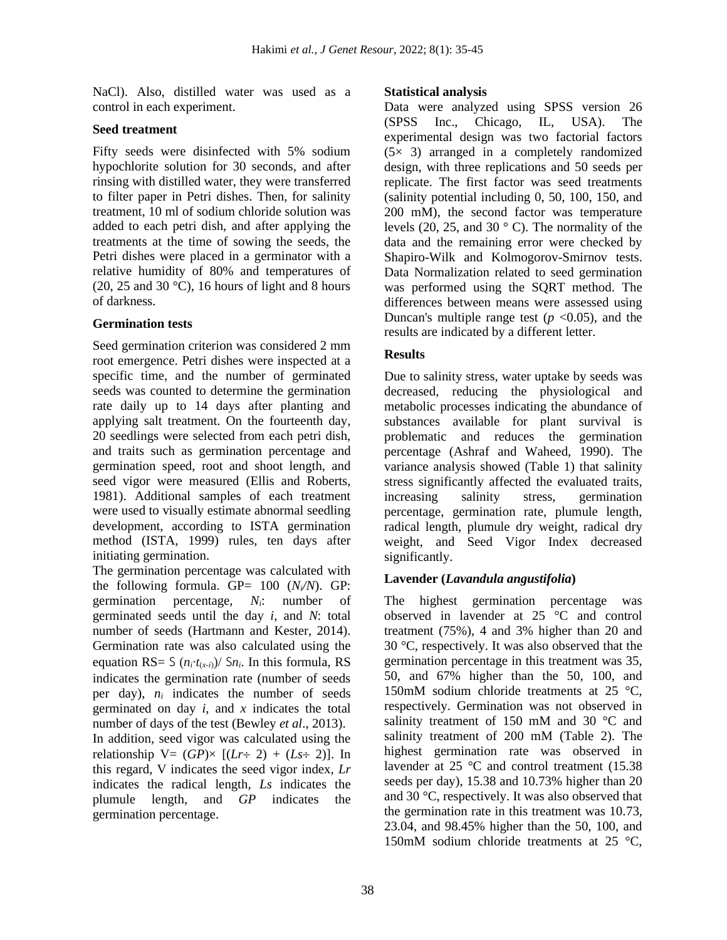NaCl). Also, distilled water was used as a control in each experiment.

#### **Seed treatment**

Fifty seeds were disinfected with 5% sodium hypochlorite solution for 30 seconds, and after rinsing with distilled water, they were transferred to filter paper in Petri dishes. Then, for salinity treatment, 10 ml of sodium chloride solution was added to each petri dish, and after applying the treatments at the time of sowing the seeds, the Petri dishes were placed in a germinator with a relative humidity of 80% and temperatures of (20, 25 and 30  $^{\circ}$ C), 16 hours of light and 8 hours of darkness.

## **Germination tests**

Seed germination criterion was considered 2 mm root emergence. Petri dishes were inspected at a specific time, and the number of germinated seeds was counted to determine the germination rate daily up to 14 days after planting and applying salt treatment. On the fourteenth day, 20 seedlings were selected from each petri dish, and traits such as germination percentage and germination speed, root and shoot length, and seed vigor were measured (Ellis and Roberts, 1981). Additional samples of each treatment were used to visually estimate abnormal seedling development, according to ISTA germination method (ISTA, 1999) rules, ten days after initiating germination.

The germination percentage was calculated with the following formula. GP=  $100 \frac{(N/N)}{N}$ . GP: germination percentage, *Ni*: number of germinated seeds until the day *i,* and *N*: total number of seeds (Hartmann and Kester, 2014). Germination rate was also calculated using the equation RS= S  $(n_i \cdot t_{(x-i)})$ / Sn<sub>*i*</sub>. In this formula, RS indicates the germination rate (number of seeds per day), *n<sup>i</sup>* indicates the number of seeds germinated on day *i*, and *x* indicates the total number of days of the test (Bewley *et al*., 2013). In addition, seed vigor was calculated using the relationship  $V = (GP) \times [(Lr + 2) + (Ls + 2)]$ . In this regard, V indicates the seed vigor index, *Lr*  indicates the radical length, *Ls* indicates the plumule length, and *GP* indicates the germination percentage.

## **Statistical analysis**

Data were analyzed using SPSS version 26 (SPSS Inc., Chicago, IL, USA). The experimental design was two factorial factors (5× 3) arranged in a completely randomized design, with three replications and 50 seeds per replicate. The first factor was seed treatments (salinity potential including 0, 50, 100, 150, and 200 mM), the second factor was temperature levels (20, 25, and 30 ° C). The normality of the data and the remaining error were checked by Shapiro-Wilk and Kolmogorov-Smirnov tests. Data Normalization related to seed germination was performed using the SQRT method. The differences between means were assessed using Duncan's multiple range test  $(p \lt 0.05)$ , and the results are indicated by a different letter.

## **Results**

Due to salinity stress, water uptake by seeds was decreased, reducing the physiological and metabolic processes indicating the abundance of substances available for plant survival is problematic and reduces the germination percentage (Ashraf and Waheed, 1990). The variance analysis showed (Table 1) that salinity stress significantly affected the evaluated traits, increasing salinity stress, germination percentage, germination rate, plumule length, radical length, plumule dry weight, radical dry weight, and Seed Vigor Index decreased significantly.

## **Lavender (***Lavandula angustifolia***)**

The highest germination percentage was observed in lavender at 25 °C and control treatment (75%), 4 and 3% higher than 20 and 30 °C, respectively. It was also observed that the germination percentage in this treatment was 35, 50, and 67% higher than the 50, 100, and 150mM sodium chloride treatments at 25 °C, respectively. Germination was not observed in salinity treatment of 150 mM and 30 °C and salinity treatment of 200 mM (Table 2). The highest germination rate was observed in lavender at 25 °C and control treatment (15.38 seeds per day), 15.38 and 10.73% higher than 20 and 30 °C, respectively. It was also observed that the germination rate in this treatment was 10.73, 23.04, and 98.45% higher than the 50, 100, and 150mM sodium chloride treatments at 25 °C,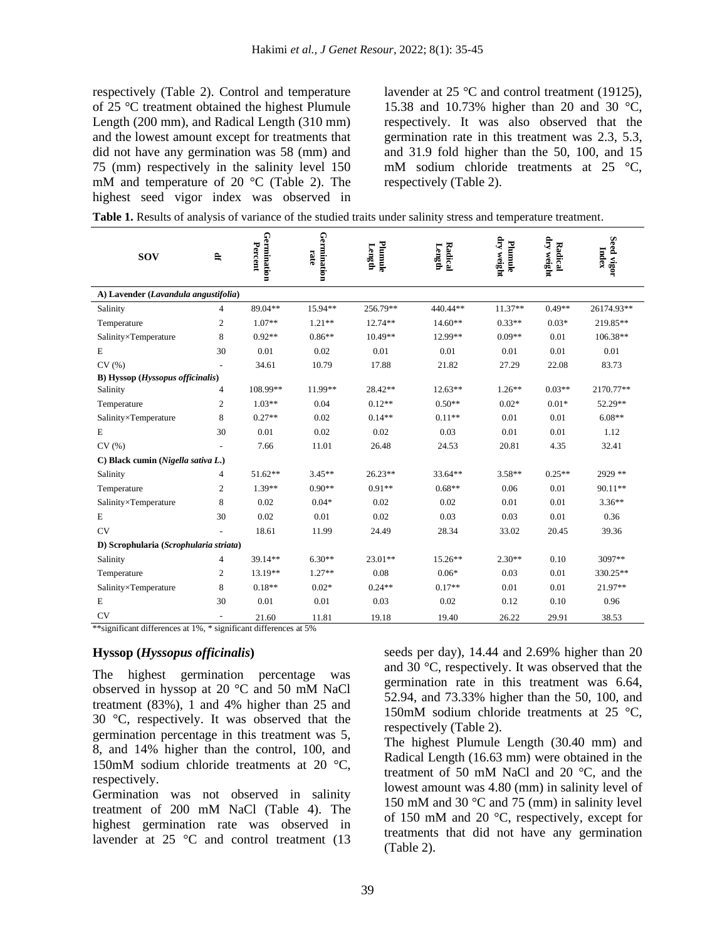respectively (Table 2). Control and temperature of 25 °C treatment obtained the highest Plumule Length (200 mm), and Radical Length (310 mm) and the lowest amount except for treatments that did not have any germination was 58 (mm) and 75 (mm) respectively in the salinity level 150 mM and temperature of 20 °C (Table 2). The highest seed vigor index was observed in lavender at 25 °C and control treatment (19125), 15.38 and 10.73% higher than 20 and 30 °C, respectively. It was also observed that the germination rate in this treatment was 2.3, 5.3, and 31.9 fold higher than the 50, 100, and 15 mM sodium chloride treatments at 25 °C, respectively (Table 2).

| <b>Table 1.</b> Results of analysis of variance of the studied traits under salinity stress and temperature treatment. |  |  |
|------------------------------------------------------------------------------------------------------------------------|--|--|
|------------------------------------------------------------------------------------------------------------------------|--|--|

| <b>SOV</b>                             | F,                       | Germination<br>Percent | Germination<br>rate | Plumule<br>Length | Radical<br>Length | dry weight<br>Plumule | dry weight<br>Radical | Seed vigor<br>Index |  |  |
|----------------------------------------|--------------------------|------------------------|---------------------|-------------------|-------------------|-----------------------|-----------------------|---------------------|--|--|
| A) Lavender (Lavandula angustifolia)   |                          |                        |                     |                   |                   |                       |                       |                     |  |  |
| Salinity                               | 4                        | 89.04**                | 15.94**             | 256.79**          | 440.44**          | $11.37**$             | $0.49**$              | 26174.93**          |  |  |
| Temperature                            | 2                        | $1.07**$               | $1.21**$            | $12.74**$         | $14.60**$         | $0.33**$              | $0.03*$               | 219.85**            |  |  |
| Salinity×Temperature                   | 8                        | $0.92**$               | $0.86**$            | $10.49**$         | 12.99**           | $0.09**$              | 0.01                  | 106.38**            |  |  |
| E                                      | 30                       | 0.01                   | 0.02                | 0.01              | 0.01              | 0.01                  | 0.01                  | 0.01                |  |  |
| CV(%)                                  |                          | 34.61                  | 10.79               | 17.88             | 21.82             | 27.29                 | 22.08                 | 83.73               |  |  |
| B) Hyssop (Hyssopus officinalis)       |                          |                        |                     |                   |                   |                       |                       |                     |  |  |
| Salinity                               | 4                        | 108.99**               | 11.99**             | 28.42**           | $12.63**$         | $1.26**$              | $0.03**$              | 2170.77**           |  |  |
| Temperature                            | 2                        | $1.03**$               | 0.04                | $0.12**$          | $0.50**$          | $0.02*$               | $0.01*$               | 52.29**             |  |  |
| Salinity×Temperature                   | 8                        | $0.27**$               | 0.02                | $0.14**$          | $0.11**$          | 0.01                  | 0.01                  | $6.08**$            |  |  |
| E                                      | 30                       | 0.01                   | 0.02                | 0.02              | 0.03              | 0.01                  | 0.01                  | 1.12                |  |  |
| CV(%)                                  |                          | 7.66                   | 11.01               | 26.48             | 24.53             | 20.81                 | 4.35                  | 32.41               |  |  |
| C) Black cumin (Nigella sativa L.)     |                          |                        |                     |                   |                   |                       |                       |                     |  |  |
| Salinity                               | 4                        | $51.62**$              | $3.45**$            | $26.23**$         | 33.64**           | $3.58**$              | $0.25**$              | 2929 **             |  |  |
| Temperature                            | 2                        | $1.39**$               | $0.90**$            | $0.91**$          | $0.68**$          | 0.06                  | 0.01                  | 90.11**             |  |  |
| Salinity×Temperature                   | 8                        | 0.02                   | $0.04*$             | 0.02              | 0.02              | 0.01                  | 0.01                  | $3.36**$            |  |  |
| E                                      | 30                       | 0.02                   | 0.01                | 0.02              | 0.03              | 0.03                  | 0.01                  | 0.36                |  |  |
| <b>CV</b>                              |                          | 18.61                  | 11.99               | 24.49             | 28.34             | 33.02                 | 20.45                 | 39.36               |  |  |
| D) Scrophularia (Scrophularia striata) |                          |                        |                     |                   |                   |                       |                       |                     |  |  |
| Salinity                               | 4                        | 39.14**                | $6.30**$            | $23.01**$         | $15.26**$         | $2.30**$              | 0.10                  | 3097**              |  |  |
| Temperature                            | 2                        | 13.19**                | $1.27**$            | 0.08              | $0.06*$           | 0.03                  | 0.01                  | 330.25**            |  |  |
| Salinity×Temperature                   | 8                        | $0.18**$               | $0.02*$             | $0.24**$          | $0.17**$          | 0.01                  | 0.01                  | 21.97**             |  |  |
| E                                      | 30                       | 0.01                   | 0.01                | 0.03              | 0.02              | 0.12                  | 0.10                  | 0.96                |  |  |
| <b>CV</b>                              | $\overline{\phantom{a}}$ | 21.60                  | 11.81               | 19.18             | 19.40             | 26.22                 | 29.91                 | 38.53               |  |  |

\*\*significant differences at 1%, \* significant differences at 5%

#### **Hyssop (***Hyssopus officinalis***)**

The highest germination percentage was observed in hyssop at 20 °C and 50 mM NaCl treatment (83%), 1 and 4% higher than 25 and 30 °C, respectively. It was observed that the germination percentage in this treatment was 5, 8, and 14% higher than the control, 100, and 150mM sodium chloride treatments at 20 °C, respectively.

Germination was not observed in salinity treatment of 200 mM NaCl (Table 4). The highest germination rate was observed in lavender at 25 °C and control treatment (13

seeds per day), 14.44 and 2.69% higher than 20 and 30 °C, respectively. It was observed that the germination rate in this treatment was 6.64, 52.94, and 73.33% higher than the 50, 100, and 150mM sodium chloride treatments at 25 °C, respectively (Table 2).

The highest Plumule Length (30.40 mm) and Radical Length (16.63 mm) were obtained in the treatment of 50 mM NaCl and 20 °C, and the lowest amount was 4.80 (mm) in salinity level of 150 mM and 30 °C and 75 (mm) in salinity level of 150 mM and 20 °C, respectively, except for treatments that did not have any germination (Table 2).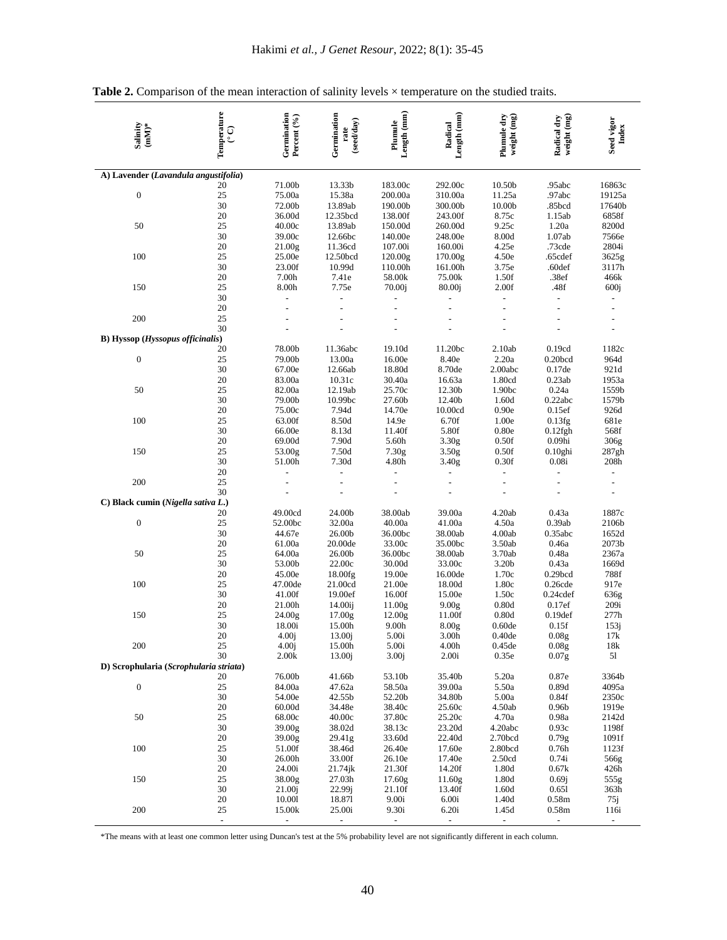| Salinity<br>$\mathbf{mM}^*$                      | Temperature<br>င္ | Germination<br>Percent (%) | Germination<br>(seedday)<br>rate | Length (mm)<br>Plumule | Length (mm)<br>Radical     | Plumule dry<br>weight (mg) | weight (mg)<br>Radical dry       | Seed vigor<br>Index      |
|--------------------------------------------------|-------------------|----------------------------|----------------------------------|------------------------|----------------------------|----------------------------|----------------------------------|--------------------------|
| A) Lavender (Lavandula angustifolia)             |                   |                            |                                  |                        |                            |                            |                                  |                          |
|                                                  | 20                | 71.00b                     | 13.33b                           | 183.00c                | 292.00c                    | 10.50b                     | .95abc                           | 16863c                   |
| $\boldsymbol{0}$                                 | 25                | 75.00a                     | 15.38a                           | 200.00a                | 310.00a                    | 11.25a                     | .97abc                           | 19125a                   |
|                                                  | 30                | 72.00b                     | 13.89ab                          | 190.00b                | 300.00b                    | 10.00b                     | .85bcd                           | 17640b                   |
|                                                  | 20                | 36.00d                     | 12.35bcd                         | 138.00f                | 243.00f                    | 8.75c                      | 1.15ab                           | 6858f                    |
| 50                                               | 25                | 40.00c                     | 13.89ab                          | 150.00d                | 260.00d                    | 9.25c                      | 1.20a                            | 8200d                    |
|                                                  | 30                | 39.00c                     | 12.66bc                          | 140.00e                | 248.00e                    | 8.00d                      | 1.07ab                           | 7566e                    |
|                                                  | 20<br>25          | 21.00g                     | 11.36cd                          | 107.00i                | 160.00i                    | 4.25e                      | .73cde                           | 2804i                    |
| 100                                              | 30                | 25.00e<br>23.00f           | 12.50bcd<br>10.99d               | 120.00g<br>110.00h     | 170.00g<br>161.00h         | 4.50e<br>3.75e             | .65cdef<br>.60def                | 3625g<br>3117h           |
|                                                  | 20                | 7.00h                      | 7.41e                            | 58.00k                 | 75.00k                     | 1.50f                      | .38ef                            | 466k                     |
| 150                                              | 25                | 8.00h                      | 7.75e                            | 70.00j                 | 80.00j                     | 2.00f                      | .48f                             | 600j                     |
|                                                  | 30                |                            | $\overline{a}$                   |                        |                            | $\overline{a}$             | $\overline{a}$                   |                          |
|                                                  | 20                |                            |                                  |                        |                            |                            |                                  |                          |
| 200                                              | 25                |                            |                                  |                        |                            |                            |                                  |                          |
|                                                  | 30                |                            |                                  |                        |                            |                            |                                  |                          |
| <b>B)</b> Hyssop ( <i>Hyssopus officinalis</i> ) |                   |                            |                                  |                        |                            |                            |                                  |                          |
|                                                  | 20                | 78.00b                     | 11.36abc                         | 19.10d                 | 11.20bc                    | 2.10ab                     | 0.19cd                           | 1182c                    |
| $\boldsymbol{0}$                                 | 25                | 79.00b                     | 13.00a                           | 16.00e                 | 8.40e                      | 2.20a                      | 0.20 <sub>bcd</sub>              | 964d                     |
|                                                  | 30                | 67.00e                     | 12.66ab                          | 18.80d                 | 8.70de                     | 2.00abc                    | 0.17de                           | 921d                     |
|                                                  | 20                | 83.00a                     | 10.31c                           | 30.40a                 | 16.63a                     | 1.80cd                     | 0.23ab                           | 1953a                    |
| 50                                               | 25                | 82.00a                     | 12.19ab                          | 25.70c                 | 12.30b                     | 1.90bc                     | 0.24a                            | 1559b                    |
|                                                  | 30                | 79.00b                     | 10.99bc                          | 27.60b                 | 12.40b                     | 1.60d                      | 0.22abc                          | 1579b                    |
|                                                  | 20                | 75.00c                     | 7.94d                            | 14.70e                 | 10.00cd                    | 0.90e                      | 0.15ef                           | 926d                     |
| 100                                              | 25                | 63.00f                     | 8.50d                            | 14.9e                  | 6.70f                      | 1.00e                      | 0.13fg                           | 681e                     |
|                                                  | 30<br>20          | 66.00e                     | 8.13d<br>7.90d                   | 11.40f<br>5.60h        | 5.80f                      | 0.80e<br>0.50f             | $0.12$ fgh<br>0.09 <sub>hi</sub> | 568f                     |
| 150                                              | 25                | 69.00d<br>53.00g           | 7.50d                            | 7.30g                  | 3.30g<br>3.50 <sub>g</sub> | 0.50f                      | $0.10$ ghi                       | 306g<br>287gh            |
|                                                  | 30                | 51.00h                     | 7.30d                            | 4.80h                  | 3.40 <sub>g</sub>          | 0.30f                      | 0.08i                            | 208h                     |
|                                                  | 20                |                            |                                  |                        |                            |                            |                                  |                          |
| 200                                              | 25                |                            |                                  |                        |                            |                            |                                  | $\overline{a}$           |
|                                                  | 30                |                            |                                  |                        |                            |                            |                                  |                          |
| C) Black cumin (Nigella sativa L.)               |                   |                            |                                  |                        |                            |                            |                                  |                          |
|                                                  | 20                | 49.00cd                    | 24.00b                           | 38.00ab                | 39.00a                     | 4.20ab                     | 0.43a                            | 1887c                    |
| $\boldsymbol{0}$                                 | 25                | 52.00bc                    | 32.00a                           | 40.00a                 | 41.00a                     | 4.50a                      | 0.39ab                           | 2106b                    |
|                                                  | 30                | 44.67e                     | 26.00b                           | 36.00bc                | 38.00ab                    | 4.00ab                     | 0.35abc                          | 1652d                    |
|                                                  | 20                | 61.00a                     | 20.00de                          | 33.00c                 | 35.00bc                    | 3.50ab                     | 0.46a                            | 2073b                    |
| 50                                               | 25                | 64.00a                     | 26.00b                           | 36.00bc                | 38.00ab                    | 3.70ab                     | 0.48a                            | 2367a                    |
|                                                  | 30                | 53.00b                     | 22.00c                           | 30.00d                 | 33.00c                     | 3.20b                      | 0.43a                            | 1669d                    |
| 100                                              | 20<br>25          | 45.00e                     | 18.00fg                          | 19.00e                 | 16.00de                    | 1.70c                      | 0.29 <sub>bcd</sub>              | 788f                     |
|                                                  | 30                | 47.00de<br>41.00f          | 21.00cd<br>19.00ef               | 21.00e<br>16.00f       | 18.00d<br>15.00e           | 1.80c<br>1.50c             | $0.26$ cde<br>$0.24$ cdef        | 917e                     |
|                                                  | 20                | 21.00h                     | 14.00ij                          | 11.00g                 | 9.00 <sub>g</sub>          | 0.80d                      | 0.17ef                           | 636g<br>209i             |
| 150                                              | 25                | 24.00g                     | 17.00g                           | 12.00g                 | 11.00f                     | 0.80d                      | 0.19 <sub>def</sub>              | 277h                     |
|                                                  | 30                | 18.00i                     | 15.00h                           | 9.00 <sub>h</sub>      | 8.00 <sub>g</sub>          | 0.60de                     | 0.15f                            | 153j                     |
|                                                  | 20                | 4.00j                      | 13.00j                           | 5.00i                  | 3.00h                      | 0.40de                     | $0.08{\rm g}$                    | 17k                      |
| 200                                              | 25                | 4.00 <sub>i</sub>          | 15.00h                           | 5.00i                  | 4.00h                      | 0.45de                     | 0.08 <sub>g</sub>                | 18k                      |
|                                                  | 30                | 2.00k                      | 13.00 <sub>i</sub>               | 3.00j                  | 2.00i                      | 0.35e                      | 0.07 <sub>g</sub>                | 51                       |
| D) Scrophularia (Scrophularia striata)           |                   |                            |                                  |                        |                            |                            |                                  |                          |
|                                                  | 20                | 76.00b                     | 41.66b                           | 53.10b                 | 35.40b                     | 5.20a                      | 0.87e                            | 3364b                    |
| $\boldsymbol{0}$                                 | 25                | 84.00a                     | 47.62a                           | 58.50a                 | 39.00a                     | 5.50a                      | 0.89d                            | 4095a                    |
|                                                  | 30                | 54.00e                     | 42.55b                           | 52.20b                 | 34.80b                     | 5.00a                      | 0.84f                            | 2350c                    |
|                                                  | 20                | 60.00d                     | 34.48e                           | 38.40c                 | 25.60c                     | 4.50ab                     | 0.96 <sub>b</sub>                | 1919e                    |
| 50                                               | 25                | 68.00c                     | 40.00c                           | 37.80c                 | 25.20c                     | 4.70a                      | 0.98a                            | 2142d                    |
|                                                  | 30<br>20          | 39.00g<br>39.00g           | 38.02d                           | 38.13c                 | 23.20d<br>22.40d           | 4.20abc                    | 0.93c                            | 1198f                    |
| 100                                              | 25                | 51.00f                     | 29.41g<br>38.46d                 | 33.60d<br>26.40e       | 17.60e                     | 2.70bcd<br>2.80bcd         | 0.79g<br>0.76h                   | 1091f<br>1123f           |
|                                                  | 30                | 26.00h                     | 33.00f                           | 26.10e                 | 17.40e                     | 2.50cd                     | 0.74i                            | 566g                     |
|                                                  | 20                | 24.00i                     | 21.74jk                          | 21.30f                 | 14.20f                     | 1.80d                      | 0.67k                            | 426h                     |
| 150                                              | 25                | 38.00g                     | 27.03h                           | 17.60 <sub>g</sub>     | 11.60g                     | 1.80d                      | 0.69j                            | 555g                     |
|                                                  | 30                | 21.00j                     | 22.99j                           | 21.10f                 | 13.40f                     | 1.60d                      | 0.651                            | 363h                     |
|                                                  | 20                | 10.001                     | 18.871                           | 9.00i                  | 6.00i                      | 1.40d                      | 0.58m                            | 75j                      |
| 200                                              | 25                | 15.00k                     | 25.00i                           | 9.30i                  | 6.20i                      | 1.45d                      | 0.58 <sub>m</sub>                | 116i                     |
|                                                  | $\frac{1}{2}$     | $\blacksquare$             | $\overline{\phantom{a}}$         | $\blacksquare$         | $\blacksquare$             | $\blacksquare$             | $\blacksquare$                   | $\overline{\phantom{a}}$ |

Table 2. Comparison of the mean interaction of salinity levels  $\times$  temperature on the studied traits.

\*The means with at least one common letter using Duncan's test at the 5% probability level are not significantly different in each column.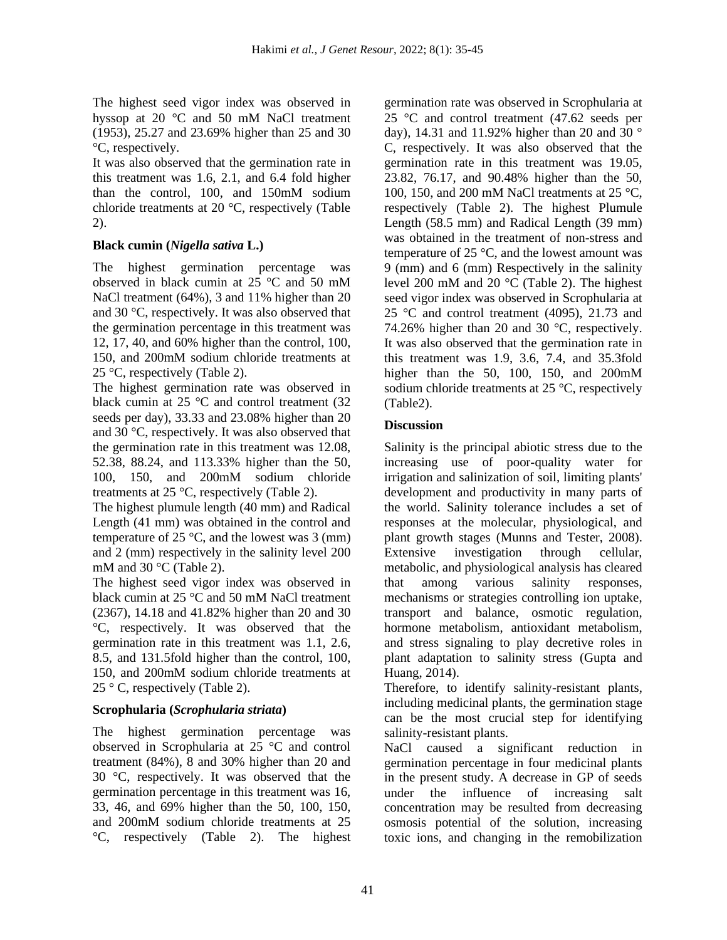The highest seed vigor index was observed in hyssop at 20 °C and 50 mM NaCl treatment (1953), 25.27 and 23.69% higher than 25 and 30 °C, respectively.

It was also observed that the germination rate in this treatment was 1.6, 2.1, and 6.4 fold higher than the control, 100, and 150mM sodium chloride treatments at 20 °C, respectively (Table 2).

## **Black cumin (***Nigella sativa* **L.)**

The highest germination percentage was observed in black cumin at 25 °C and 50 mM NaCl treatment (64%), 3 and 11% higher than 20 and 30 °C, respectively. It was also observed that the germination percentage in this treatment was 12, 17, 40, and 60% higher than the control, 100, 150, and 200mM sodium chloride treatments at 25 °C, respectively (Table 2).

The highest germination rate was observed in black cumin at 25 °C and control treatment (32 seeds per day), 33.33 and 23.08% higher than 20 and 30 °C, respectively. It was also observed that the germination rate in this treatment was 12.08, 52.38, 88.24, and 113.33% higher than the 50, 100, 150, and 200mM sodium chloride treatments at 25 °C, respectively (Table 2).

The highest plumule length (40 mm) and Radical Length (41 mm) was obtained in the control and temperature of 25  $\degree$ C, and the lowest was 3 (mm) and 2 (mm) respectively in the salinity level 200 mM and 30 °C (Table 2).

The highest seed vigor index was observed in black cumin at 25 °C and 50 mM NaCl treatment (2367), 14.18 and 41.82% higher than 20 and 30 °C, respectively. It was observed that the germination rate in this treatment was 1.1, 2.6, 8.5, and 131.5fold higher than the control, 100, 150, and 200mM sodium chloride treatments at 25 ° C, respectively (Table 2).

## **Scrophularia (***Scrophularia striata***)**

The highest germination percentage was observed in Scrophularia at 25 °C and control treatment (84%), 8 and 30% higher than 20 and 30 °C, respectively. It was observed that the germination percentage in this treatment was 16, 33, 46, and 69% higher than the 50, 100, 150, and 200mM sodium chloride treatments at 25 °C, respectively (Table 2). The highest

germination rate was observed in Scrophularia at 25 °C and control treatment (47.62 seeds per day), 14.31 and 11.92% higher than 20 and 30 ° C, respectively. It was also observed that the germination rate in this treatment was 19.05, 23.82, 76.17, and 90.48% higher than the 50, 100, 150, and 200 mM NaCl treatments at 25 °C, respectively (Table 2). The highest Plumule Length (58.5 mm) and Radical Length (39 mm) was obtained in the treatment of non-stress and temperature of 25 °C, and the lowest amount was 9 (mm) and 6 (mm) Respectively in the salinity level 200 mM and 20 °C (Table 2). The highest seed vigor index was observed in Scrophularia at 25 °C and control treatment (4095), 21.73 and 74.26% higher than 20 and 30 °C, respectively. It was also observed that the germination rate in this treatment was 1.9, 3.6, 7.4, and 35.3fold higher than the 50, 100, 150, and 200mM sodium chloride treatments at 25 °C, respectively (Table2).

## **Discussion**

Salinity is the principal abiotic stress due to the increasing use of poor-quality water for irrigation and salinization of soil, limiting plants' development and productivity in many parts of the world. Salinity tolerance includes a set of responses at the molecular, physiological, and plant growth stages (Munns and Tester, 2008). Extensive investigation through cellular, metabolic, and physiological analysis has cleared that among various salinity responses, mechanisms or strategies controlling ion uptake, transport and balance, osmotic regulation, hormone metabolism, antioxidant metabolism, and stress signaling to play decretive roles in plant adaptation to salinity stress (Gupta and Huang, 2014).

Therefore, to identify salinity-resistant plants, including medicinal plants, the germination stage can be the most crucial step for identifying salinity-resistant plants.

NaCl caused a significant reduction in germination percentage in four medicinal plants in the present study. A decrease in GP of seeds under the influence of increasing salt concentration may be resulted from decreasing osmosis potential of the solution, increasing toxic ions, and changing in the remobilization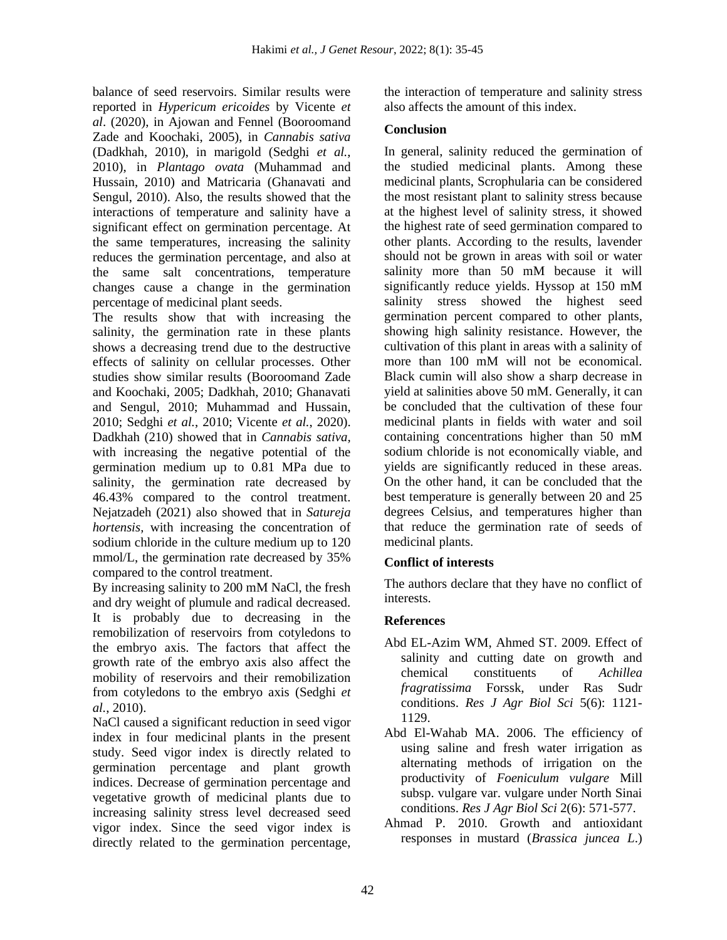balance of seed reservoirs. Similar results were reported in *Hypericum ericoides* by Vicente *et al*. (2020), in Ajowan and Fennel (Booroomand Zade and Koochaki, 2005), in *Cannabis sativa* (Dadkhah, 2010), in marigold (Sedghi *et al.*, 2010), in *Plantago ovata* (Muhammad and Hussain, 2010) and Matricaria (Ghanavati and Sengul, 2010). Also, the results showed that the interactions of temperature and salinity have a significant effect on germination percentage. At the same temperatures, increasing the salinity reduces the germination percentage, and also at the same salt concentrations, temperature changes cause a change in the germination percentage of medicinal plant seeds.

The results show that with increasing the salinity, the germination rate in these plants shows a decreasing trend due to the destructive effects of salinity on cellular processes. Other studies show similar results (Booroomand Zade and Koochaki, 2005; Dadkhah, 2010; Ghanavati and Sengul, 2010; Muhammad and Hussain, 2010; Sedghi *et al.*, 2010; Vicente *et al.*, 2020). Dadkhah (210) showed that in *Cannabis sativa,* with increasing the negative potential of the germination medium up to 0.81 MPa due to salinity, the germination rate decreased by 46.43% compared to the control treatment. Nejatzadeh (2021) also showed that in *Satureja hortensis,* with increasing the concentration of sodium chloride in the culture medium up to 120 mmol/L, the germination rate decreased by 35% compared to the control treatment.

By increasing salinity to 200 mM NaCl, the fresh and dry weight of plumule and radical decreased. It is probably due to decreasing in the remobilization of reservoirs from cotyledons to the embryo axis. The factors that affect the growth rate of the embryo axis also affect the mobility of reservoirs and their remobilization from cotyledons to the embryo axis (Sedghi *et al.*, 2010).

NaCl caused a significant reduction in seed vigor index in four medicinal plants in the present study. Seed vigor index is directly related to germination percentage and plant growth indices. Decrease of germination percentage and vegetative growth of medicinal plants due to increasing salinity stress level decreased seed vigor index. Since the seed vigor index is directly related to the germination percentage, the interaction of temperature and salinity stress also affects the amount of this index.

## **Conclusion**

In general, salinity reduced the germination of the studied medicinal plants. Among these medicinal plants, Scrophularia can be considered the most resistant plant to salinity stress because at the highest level of salinity stress, it showed the highest rate of seed germination compared to other plants. According to the results, lavender should not be grown in areas with soil or water salinity more than 50 mM because it will significantly reduce yields. Hyssop at 150 mM salinity stress showed the highest seed germination percent compared to other plants, showing high salinity resistance. However, the cultivation of this plant in areas with a salinity of more than 100 mM will not be economical. Black cumin will also show a sharp decrease in yield at salinities above 50 mM. Generally, it can be concluded that the cultivation of these four medicinal plants in fields with water and soil containing concentrations higher than 50 mM sodium chloride is not economically viable, and yields are significantly reduced in these areas. On the other hand, it can be concluded that the best temperature is generally between 20 and 25 degrees Celsius, and temperatures higher than that reduce the germination rate of seeds of medicinal plants.

## **Conflict of interests**

The authors declare that they have no conflict of interests.

## **References**

- Abd EL-Azim WM, Ahmed ST. 2009. Effect of salinity and cutting date on growth and chemical constituents of *Achillea fragratissima* Forssk, under Ras Sudr conditions. *Res J Agr Biol Sci* 5(6): 1121- 1129.
- Abd El-Wahab MA. 2006. The efficiency of using saline and fresh water irrigation as alternating methods of irrigation on the productivity of *Foeniculum vulgare* Mill subsp. vulgare var. vulgare under North Sinai conditions. *Res J Agr Biol Sci* 2(6): 571-577.
- Ahmad P. 2010. Growth and antioxidant responses in mustard (*Brassica juncea L*.)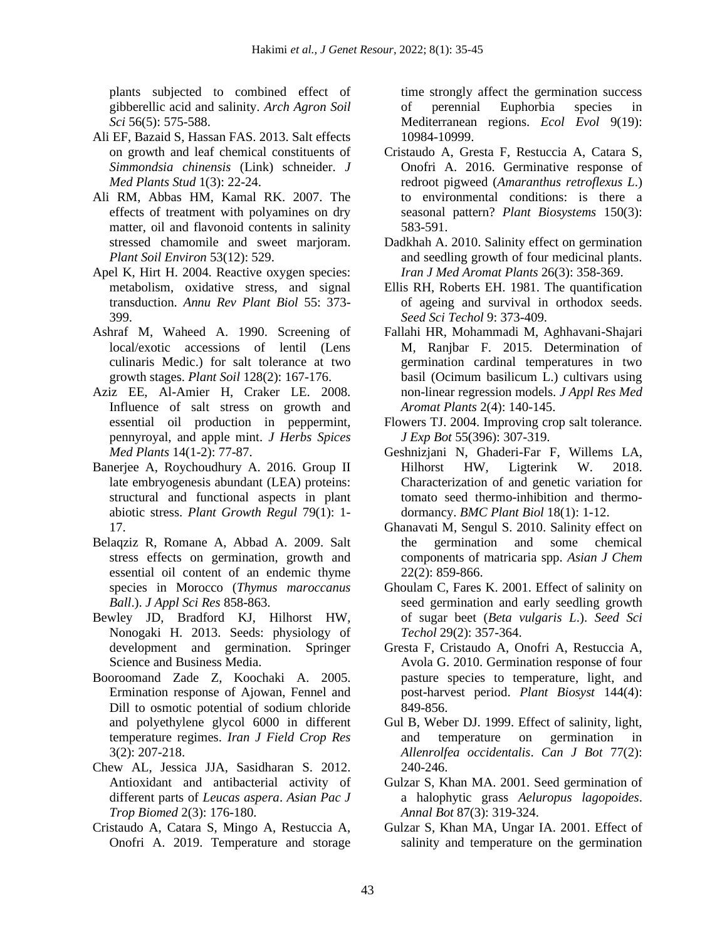plants subjected to combined effect of gibberellic acid and salinity. *Arch Agron Soil Sci* 56(5): 575-588.

- Ali EF, Bazaid S, Hassan FAS. 2013. Salt effects on growth and leaf chemical constituents of *Simmondsia chinensis* (Link) schneider. *J Med Plants Stud* 1(3): 22-24.
- Ali RM, Abbas HM, Kamal RK. 2007. The effects of treatment with polyamines on dry matter, oil and flavonoid contents in salinity stressed chamomile and sweet marjoram. *Plant Soil Environ* 53(12): 529.
- Apel K, Hirt H. 2004. Reactive oxygen species: metabolism, oxidative stress, and signal transduction. *Annu Rev Plant Biol* 55: 373- 399.
- Ashraf M, Waheed A. 1990. Screening of local/exotic accessions of lentil (Lens culinaris Medic.) for salt tolerance at two growth stages. *Plant Soil* 128(2): 167-176.
- Aziz EE, Al-Amier H, Craker LE. 2008. Influence of salt stress on growth and essential oil production in peppermint, pennyroyal, and apple mint. *J Herbs Spices Med Plants* 14(1-2): 77-87.
- Banerjee A, Roychoudhury A. 2016. Group II late embryogenesis abundant (LEA) proteins: structural and functional aspects in plant abiotic stress. *Plant Growth Regul* 79(1): 1- 17.
- Belaqziz R, Romane A, Abbad A. 2009. Salt stress effects on germination, growth and essential oil content of an endemic thyme species in Morocco (*Thymus maroccanus Ball*.). *J Appl Sci Res* 858-863.
- Bewley JD, Bradford KJ, Hilhorst HW, Nonogaki H. 2013. Seeds: physiology of development and germination. Springer Science and Business Media.
- Booroomand Zade Z, Koochaki A. 2005. Ermination response of Ajowan, Fennel and Dill to osmotic potential of sodium chloride and polyethylene glycol 6000 in different temperature regimes. *Iran J Field Crop Res* 3(2): 207-218.
- Chew AL, Jessica JJA, Sasidharan S. 2012. Antioxidant and antibacterial activity of different parts of *Leucas aspera*. *Asian Pac J Trop Biomed* 2(3): 176-180.
- Cristaudo A, Catara S, Mingo A, Restuccia A, Onofri A. 2019. Temperature and storage

time strongly affect the germination success of perennial Euphorbia species in Mediterranean regions. *Ecol Evol* 9(19): 10984-10999.

- Cristaudo A, Gresta F, Restuccia A, Catara S, Onofri A. 2016. Germinative response of redroot pigweed (*Amaranthus retroflexus L*.) to environmental conditions: is there a seasonal pattern? *Plant Biosystems* 150(3): 583-591.
- Dadkhah A. 2010. Salinity effect on germination and seedling growth of four medicinal plants. *Iran J Med Aromat Plants* 26(3): 358-369.
- Ellis RH, Roberts EH. 1981. The quantification of ageing and survival in orthodox seeds. *Seed Sci Techol* 9: 373-409.
- Fallahi HR, Mohammadi M, Aghhavani-Shajari M, Ranjbar F. 2015. Determination of germination cardinal temperatures in two basil (Ocimum basilicum L.) cultivars using non-linear regression models. *J Appl Res Med Aromat Plants* 2(4): 140-145.
- Flowers TJ. 2004. Improving crop salt tolerance. *J Exp Bot* 55(396): 307-319.
- Geshnizjani N, Ghaderi-Far F, Willems LA, Hilhorst HW, Ligterink W. 2018. Characterization of and genetic variation for tomato seed thermo-inhibition and thermodormancy. *BMC Plant Biol* 18(1): 1-12.
- Ghanavati M, Sengul S. 2010. Salinity effect on the germination and some chemical components of matricaria spp. *Asian J Chem* 22(2): 859-866.
- Ghoulam C, Fares K. 2001. Effect of salinity on seed germination and early seedling growth of sugar beet (*Beta vulgaris L*.). *Seed Sci Techol* 29(2): 357-364.
- Gresta F, Cristaudo A, Onofri A, Restuccia A, Avola G. 2010. Germination response of four pasture species to temperature, light, and post-harvest period. *Plant Biosyst* 144(4): 849-856.
- Gul B, Weber DJ. 1999. Effect of salinity, light, and temperature on germination in *Allenrolfea occidentalis*. *Can J Bot* 77(2): 240-246.
- Gulzar S, Khan MA. 2001. Seed germination of a halophytic grass *Aeluropus lagopoides*. *Annal Bot* 87(3): 319-324.
- Gulzar S, Khan MA, Ungar IA. 2001. Effect of salinity and temperature on the germination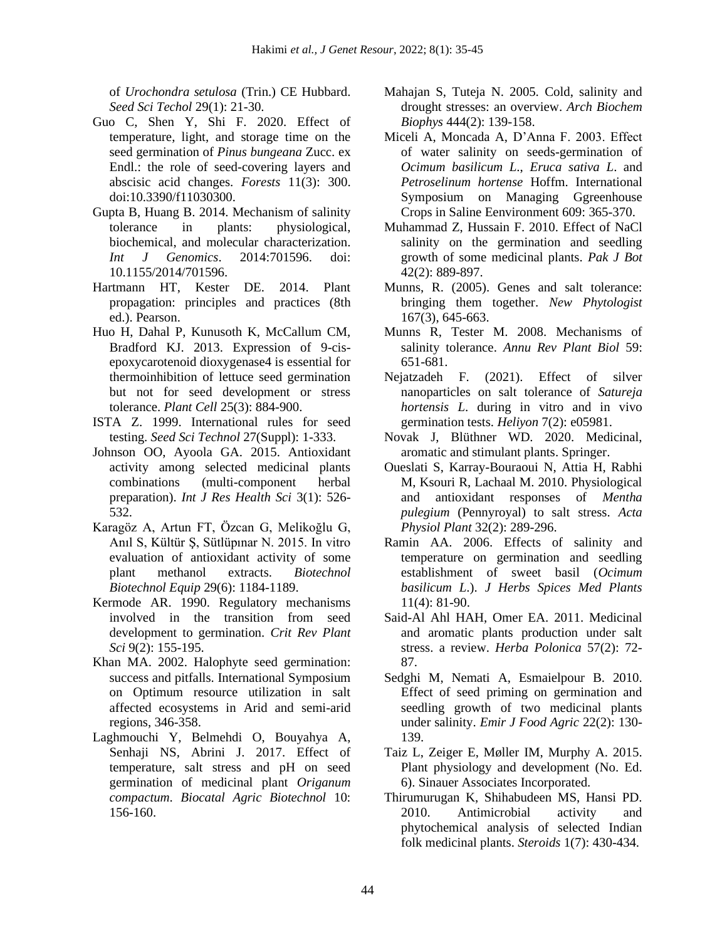of *Urochondra setulosa* (Trin.) CE Hubbard. *Seed Sci Techol* 29(1): 21-30.

- Guo C, Shen Y, Shi F. 2020. Effect of temperature, light, and storage time on the seed germination of *Pinus bungeana* Zucc. ex Endl.: the role of seed-covering layers and abscisic acid changes. *Forests* 11(3): 300. doi:10.3390/f11030300.
- Gupta B, Huang B. 2014. Mechanism of salinity tolerance in plants: physiological, biochemical, and molecular characterization. *Int J Genomics*. 2014:701596. doi: 10.1155/2014/701596.
- Hartmann HT, Kester DE. 2014. Plant propagation: principles and practices (8th ed.). Pearson.
- Huo H, Dahal P, Kunusoth K, McCallum CM, Bradford KJ. 2013. Expression of 9-cisepoxycarotenoid dioxygenase4 is essential for thermoinhibition of lettuce seed germination but not for seed development or stress tolerance. *Plant Cell* 25(3): 884-900.
- ISTA Z. 1999. International rules for seed testing. *Seed Sci Technol* 27(Suppl): 1-333.
- Johnson OO, Ayoola GA. 2015. Antioxidant activity among selected medicinal plants combinations (multi-component herbal preparation). *Int J Res Health Sci* 3(1): 526- 532.
- Karagöz A, Artun FT, Özcan G, Melikoğlu G, Anıl S, Kültür Ş, Sütlüpınar N. 2015. In vitro evaluation of antioxidant activity of some plant methanol extracts. *Biotechnol Biotechnol Equip* 29(6): 1184-1189.
- Kermode AR. 1990. Regulatory mechanisms involved in the transition from seed development to germination. *Crit Rev Plant Sci* 9(2): 155-195.
- Khan MA. 2002. Halophyte seed germination: success and pitfalls. International Symposium on Optimum resource utilization in salt affected ecosystems in Arid and semi-arid regions, 346-358.
- Laghmouchi Y, Belmehdi O, Bouyahya A, Senhaji NS, Abrini J. 2017. Effect of temperature, salt stress and pH on seed germination of medicinal plant *Origanum compactum*. *Biocatal Agric Biotechnol* 10: 156-160.
- Mahajan S, Tuteja N. 2005. Cold, salinity and drought stresses: an overview. *Arch Biochem Biophys* 444(2): 139-158.
- Miceli A, Moncada A, D'Anna F. 2003. Effect of water salinity on seeds-germination of *Ocimum basilicum L*., *Eruca sativa L*. and *Petroselinum hortense* Hoffm. International Symposium on Managing Ggreenhouse Crops in Saline Eenvironment 609: 365-370.
- Muhammad Z, Hussain F. 2010. Effect of NaCl salinity on the germination and seedling growth of some medicinal plants. *Pak J Bot* 42(2): 889-897.
- Munns, R. (2005). Genes and salt tolerance: bringing them together. *New Phytologist* 167(3), 645-663.
- Munns R, Tester M. 2008. Mechanisms of salinity tolerance. *Annu Rev Plant Biol* 59: 651-681.
- Nejatzadeh F. (2021). Effect of silver nanoparticles on salt tolerance of *Satureja hortensis L*. during in vitro and in vivo germination tests. *Heliyon* 7(2): e05981.
- Novak J, Blüthner WD. 2020. Medicinal, aromatic and stimulant plants. Springer.
- Oueslati S, Karray-Bouraoui N, Attia H, Rabhi M, Ksouri R, Lachaal M. 2010. Physiological and antioxidant responses of *Mentha pulegium* (Pennyroyal) to salt stress. *Acta Physiol Plant* 32(2): 289-296.
- Ramin AA. 2006. Effects of salinity and temperature on germination and seedling establishment of sweet basil (*Ocimum basilicum L*.). *J Herbs Spices Med Plants* 11(4): 81-90.
- Said-Al Ahl HAH, Omer EA. 2011. Medicinal and aromatic plants production under salt stress. a review. *Herba Polonica* 57(2): 72- 87.
- Sedghi M, Nemati A, Esmaielpour B. 2010. Effect of seed priming on germination and seedling growth of two medicinal plants under salinity. *Emir J Food Agric* 22(2): 130- 139.
- Taiz L, Zeiger E, Møller IM, Murphy A. 2015. Plant physiology and development (No. Ed. 6). Sinauer Associates Incorporated.
- Thirumurugan K, Shihabudeen MS, Hansi PD. 2010. Antimicrobial activity and phytochemical analysis of selected Indian folk medicinal plants. *Steroids* 1(7): 430-434.